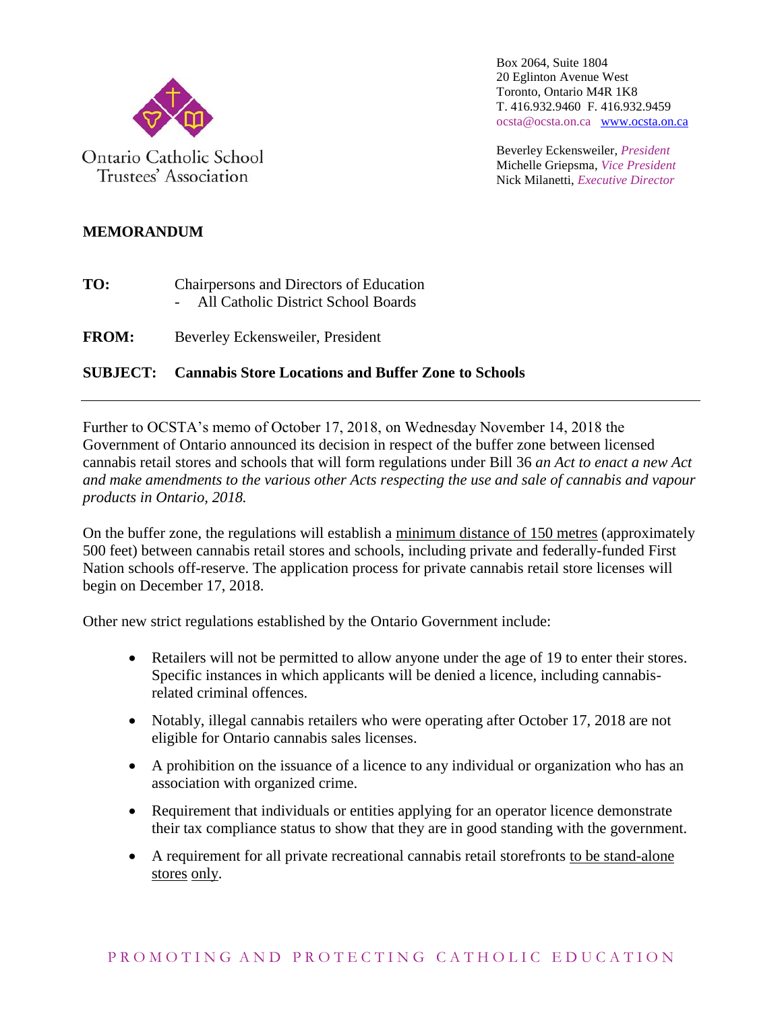

Trustees' Association

Box 2064, Suite 1804 20 Eglinton Avenue West Toronto, Ontario M4R 1K8 T. 416.932.9460 F. 416.932.9459 ocsta@ocsta.on.ca [www.ocsta.on.ca](http://www.ocsta.on.ca/)

Beverley Eckensweiler, *President* Michelle Griepsma, *Vice President* Nick Milanetti, *Executive Director*

## **MEMORANDUM**

- **TO:** Chairpersons and Directors of Education - All Catholic District School Boards
- **FROM:** Beverley Eckensweiler, President

## **SUBJECT: Cannabis Store Locations and Buffer Zone to Schools**

Further to OCSTA's memo of October 17, 2018, on Wednesday November 14, 2018 the Government of Ontario announced its decision in respect of the buffer zone between licensed cannabis retail stores and schools that will form regulations under Bill 36 *an Act to enact a new Act and make amendments to the various other Acts respecting the use and sale of cannabis and vapour products in Ontario, 2018.*

On the buffer zone, the regulations will establish a minimum distance of 150 metres (approximately 500 feet) between cannabis retail stores and schools, including private and federally-funded First Nation schools off-reserve. The application process for private cannabis retail store licenses will begin on December 17, 2018.

Other new strict regulations established by the Ontario Government include:

- Retailers will not be permitted to allow anyone under the age of 19 to enter their stores. Specific instances in which applicants will be denied a licence, including cannabisrelated criminal offences.
- Notably, illegal cannabis retailers who were operating after October 17, 2018 are not eligible for Ontario cannabis sales licenses.
- A prohibition on the issuance of a licence to any individual or organization who has an association with organized crime.
- Requirement that individuals or entities applying for an operator licence demonstrate their tax compliance status to show that they are in good standing with the government.
- A requirement for all private recreational cannabis retail storefronts to be stand-alone stores only.